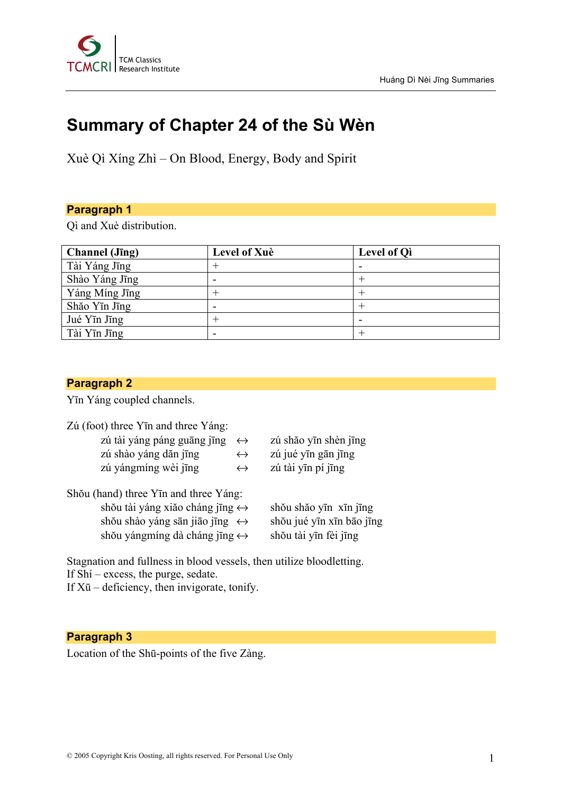

# **Summary of Chapter 24 of the Sù Wèn**

Xuè Qì Xíng Zhì – On Blood, Energy, Body and Spirit

#### **Paragraph 1**

Qì and Xuè distribution.

| <b>Channel</b> (Jīng) | Level of Xuè | <b>Level of Qi</b> |
|-----------------------|--------------|--------------------|
| Tài Yáng Jīng         |              |                    |
| Shào Yáng Jīng        |              |                    |
| Yáng Míng Jīng        |              |                    |
| Shăo Yīn Jīng         |              |                    |
| Jué Yīn Jīng          |              |                    |
| Tài Yīn Jīng          |              |                    |

#### **Paragraph 2**

Yīn Yáng coupled channels.

Zú (foot) three Yīn and three Yáng:

- zú tài yáng páng guāng jīng  $\leftrightarrow$  zú shăo yīn shèn jīng
	- zú shào yáng dăn jīng  $\leftrightarrow$  zú jué yīn gān jīng
	- zú yángmíng wèi jīng  $\leftrightarrow$  zú tài yīn pí jīng
- Shŏu (hand) three Yīn and three Yáng: shŏu tài yáng xiăo cháng jīng  $\leftrightarrow$  shŏu shăo yīn xīn jīng shŏu shào yáng sān jiāo jīng ↔ shŏu jué yīn xīn bāo jīng shŏu yángmíng dà cháng jīng  $\leftrightarrow$  shŏu tài yīn fèi jīng
- 
- 
- 

Stagnation and fullness in blood vessels, then utilize bloodletting.

If Shí – excess, the purge, sedate.

If  $X\bar{u}$  – deficiency, then invigorate, tonify.

### **Paragraph 3**

Location of the Shū-points of the five Zàng.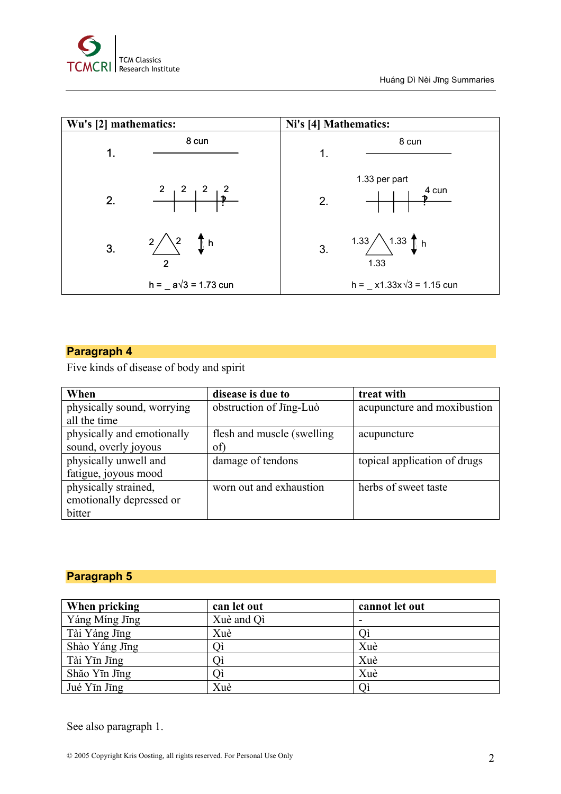

### **Paragraph 4**

Five kinds of disease of body and spirit

| When                       | disease is due to           | treat with                   |
|----------------------------|-----------------------------|------------------------------|
| physically sound, worrying | obstruction of Jing-Luò     | acupuncture and moxibustion  |
| all the time               |                             |                              |
| physically and emotionally | flesh and muscle (swelling) | acupuncture                  |
| sound, overly joyous       | of)                         |                              |
| physically unwell and      | damage of tendons           | topical application of drugs |
| fatigue, joyous mood       |                             |                              |
| physically strained,       | worn out and exhaustion     | herbs of sweet taste         |
| emotionally depressed or   |                             |                              |
| bitter                     |                             |                              |

## **Paragraph 5**

| When pricking  | can let out | cannot let out |
|----------------|-------------|----------------|
| Yáng Míng Jīng | Xuè and Qi  | -              |
| Tài Yáng Jīng  | Xuè         |                |
| Shào Yáng Jīng | Oì          | Xuè            |
| Tài Yīn Jīng   | ()ì         | Xuè            |
| Shăo Yīn Jīng  |             | Xuè            |
| Jué Yīn Jīng   | Xuè         |                |

See also paragraph 1.